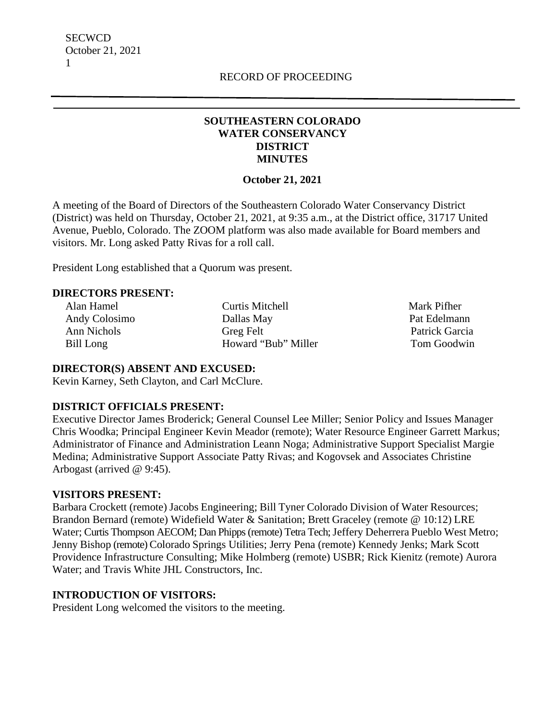## **SOUTHEASTERN COLORADO WATER CONSERVANCY DISTRICT MINUTES**

### **October 21, 2021**

A meeting of the Board of Directors of the Southeastern Colorado Water Conservancy District (District) was held on Thursday, October 21, 2021, at 9:35 a.m., at the District office, 31717 United Avenue, Pueblo, Colorado. The ZOOM platform was also made available for Board members and visitors. Mr. Long asked Patty Rivas for a roll call.

President Long established that a Quorum was present.

## **DIRECTORS PRESENT:**

 Alan Hamel Curtis Mitchell Mark Pifher Andy Colosimo Dallas May Pat Edelmann Ann Nichols Greg Felt Patrick Garcia Bill Long **Howard "Bub" Miller** Tom Goodwin

### **DIRECTOR(S) ABSENT AND EXCUSED:**

Kevin Karney, Seth Clayton, and Carl McClure.

### **DISTRICT OFFICIALS PRESENT:**

Executive Director James Broderick; General Counsel Lee Miller; Senior Policy and Issues Manager Chris Woodka; Principal Engineer Kevin Meador (remote); Water Resource Engineer Garrett Markus; Administrator of Finance and Administration Leann Noga; Administrative Support Specialist Margie Medina; Administrative Support Associate Patty Rivas; and Kogovsek and Associates Christine Arbogast (arrived @ 9:45).

### **VISITORS PRESENT:**

Barbara Crockett (remote) Jacobs Engineering; Bill Tyner Colorado Division of Water Resources; Brandon Bernard (remote) Widefield Water & Sanitation; Brett Graceley (remote @ 10:12) LRE Water; Curtis Thompson AECOM; Dan Phipps (remote) Tetra Tech; Jeffery Deherrera Pueblo West Metro; Jenny Bishop (remote) Colorado Springs Utilities; Jerry Pena (remote) Kennedy Jenks; Mark Scott Providence Infrastructure Consulting; Mike Holmberg (remote) USBR; Rick Kienitz (remote) Aurora Water; and Travis White JHL Constructors, Inc.

### **INTRODUCTION OF VISITORS:**

President Long welcomed the visitors to the meeting.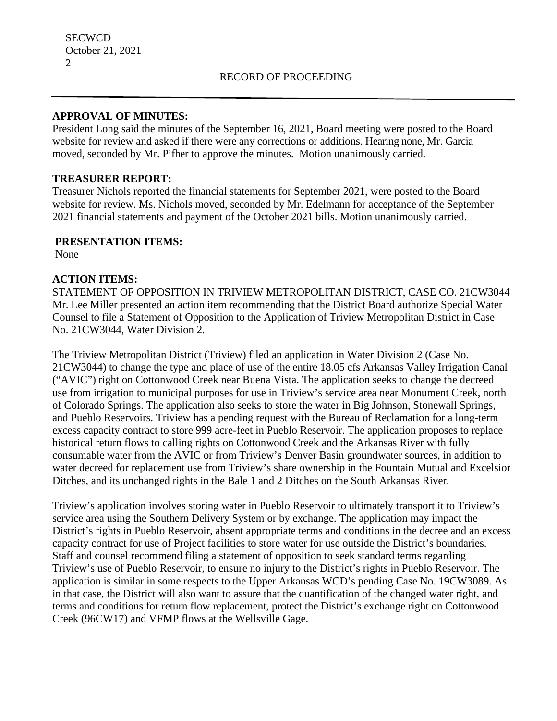## **APPROVAL OF MINUTES:**

President Long said the minutes of the September 16, 2021, Board meeting were posted to the Board website for review and asked if there were any corrections or additions. Hearing none, Mr. Garcia moved, seconded by Mr. Pifher to approve the minutes. Motion unanimously carried.

## **TREASURER REPORT:**

Treasurer Nichols reported the financial statements for September 2021, were posted to the Board website for review. Ms. Nichols moved, seconded by Mr. Edelmann for acceptance of the September 2021 financial statements and payment of the October 2021 bills. Motion unanimously carried.

## **PRESENTATION ITEMS:**

None

## **ACTION ITEMS:**

STATEMENT OF OPPOSITION IN TRIVIEW METROPOLITAN DISTRICT, CASE CO. 21CW3044 Mr. Lee Miller presented an action item recommending that the District Board authorize Special Water Counsel to file a Statement of Opposition to the Application of Triview Metropolitan District in Case No. 21CW3044, Water Division 2.

The Triview Metropolitan District (Triview) filed an application in Water Division 2 (Case No. 21CW3044) to change the type and place of use of the entire 18.05 cfs Arkansas Valley Irrigation Canal ("AVIC") right on Cottonwood Creek near Buena Vista. The application seeks to change the decreed use from irrigation to municipal purposes for use in Triview's service area near Monument Creek, north of Colorado Springs. The application also seeks to store the water in Big Johnson, Stonewall Springs, and Pueblo Reservoirs. Triview has a pending request with the Bureau of Reclamation for a long-term excess capacity contract to store 999 acre-feet in Pueblo Reservoir. The application proposes to replace historical return flows to calling rights on Cottonwood Creek and the Arkansas River with fully consumable water from the AVIC or from Triview's Denver Basin groundwater sources, in addition to water decreed for replacement use from Triview's share ownership in the Fountain Mutual and Excelsior Ditches, and its unchanged rights in the Bale 1 and 2 Ditches on the South Arkansas River.

Triview's application involves storing water in Pueblo Reservoir to ultimately transport it to Triview's service area using the Southern Delivery System or by exchange. The application may impact the District's rights in Pueblo Reservoir, absent appropriate terms and conditions in the decree and an excess capacity contract for use of Project facilities to store water for use outside the District's boundaries. Staff and counsel recommend filing a statement of opposition to seek standard terms regarding Triview's use of Pueblo Reservoir, to ensure no injury to the District's rights in Pueblo Reservoir. The application is similar in some respects to the Upper Arkansas WCD's pending Case No. 19CW3089. As in that case, the District will also want to assure that the quantification of the changed water right, and terms and conditions for return flow replacement, protect the District's exchange right on Cottonwood Creek (96CW17) and VFMP flows at the Wellsville Gage.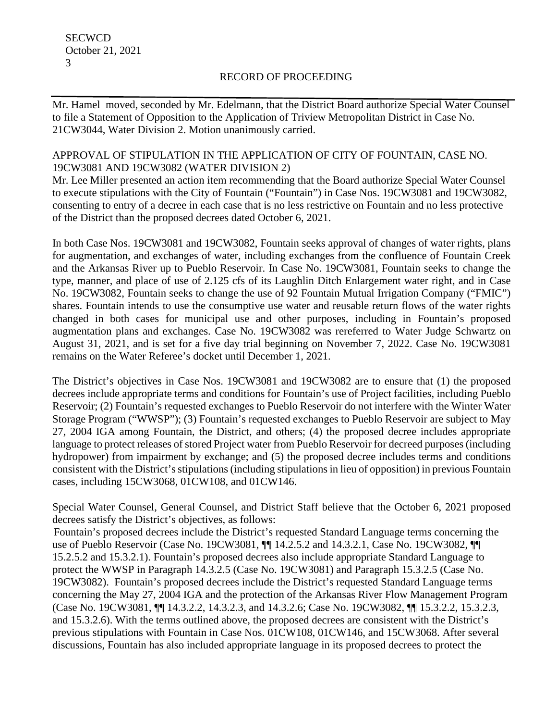Mr. Hamel moved, seconded by Mr. Edelmann, that the District Board authorize Special Water Counsel to file a Statement of Opposition to the Application of Triview Metropolitan District in Case No. 21CW3044, Water Division 2. Motion unanimously carried.

## APPROVAL OF STIPULATION IN THE APPLICATION OF CITY OF FOUNTAIN, CASE NO. 19CW3081 AND 19CW3082 (WATER DIVISION 2)

Mr. Lee Miller presented an action item recommending that the Board authorize Special Water Counsel to execute stipulations with the City of Fountain ("Fountain") in Case Nos. 19CW3081 and 19CW3082, consenting to entry of a decree in each case that is no less restrictive on Fountain and no less protective of the District than the proposed decrees dated October 6, 2021.

In both Case Nos. 19CW3081 and 19CW3082, Fountain seeks approval of changes of water rights, plans for augmentation, and exchanges of water, including exchanges from the confluence of Fountain Creek and the Arkansas River up to Pueblo Reservoir. In Case No. 19CW3081, Fountain seeks to change the type, manner, and place of use of 2.125 cfs of its Laughlin Ditch Enlargement water right, and in Case No. 19CW3082, Fountain seeks to change the use of 92 Fountain Mutual Irrigation Company ("FMIC") shares. Fountain intends to use the consumptive use water and reusable return flows of the water rights changed in both cases for municipal use and other purposes, including in Fountain's proposed augmentation plans and exchanges. Case No. 19CW3082 was rereferred to Water Judge Schwartz on August 31, 2021, and is set for a five day trial beginning on November 7, 2022. Case No. 19CW3081 remains on the Water Referee's docket until December 1, 2021.

The District's objectives in Case Nos. 19CW3081 and 19CW3082 are to ensure that (1) the proposed decrees include appropriate terms and conditions for Fountain's use of Project facilities, including Pueblo Reservoir; (2) Fountain's requested exchanges to Pueblo Reservoir do not interfere with the Winter Water Storage Program ("WWSP"); (3) Fountain's requested exchanges to Pueblo Reservoir are subject to May 27, 2004 IGA among Fountain, the District, and others; (4) the proposed decree includes appropriate language to protect releases of stored Project water from Pueblo Reservoir for decreed purposes (including hydropower) from impairment by exchange; and (5) the proposed decree includes terms and conditions consistent with the District's stipulations (including stipulations in lieu of opposition) in previous Fountain cases, including 15CW3068, 01CW108, and 01CW146.

Special Water Counsel, General Counsel, and District Staff believe that the October 6, 2021 proposed decrees satisfy the District's objectives, as follows:

 Fountain's proposed decrees include the District's requested Standard Language terms concerning the use of Pueblo Reservoir (Case No. 19CW3081,  $\P$  14.2.5.2 and 14.3.2.1, Case No. 19CW3082,  $\P$ 15.2.5.2 and 15.3.2.1). Fountain's proposed decrees also include appropriate Standard Language to protect the WWSP in Paragraph 14.3.2.5 (Case No. 19CW3081) and Paragraph 15.3.2.5 (Case No. 19CW3082). Fountain's proposed decrees include the District's requested Standard Language terms concerning the May 27, 2004 IGA and the protection of the Arkansas River Flow Management Program (Case No. 19CW3081, ¶¶ 14.3.2.2, 14.3.2.3, and 14.3.2.6; Case No. 19CW3082, ¶¶ 15.3.2.2, 15.3.2.3, and 15.3.2.6). With the terms outlined above, the proposed decrees are consistent with the District's previous stipulations with Fountain in Case Nos. 01CW108, 01CW146, and 15CW3068. After several discussions, Fountain has also included appropriate language in its proposed decrees to protect the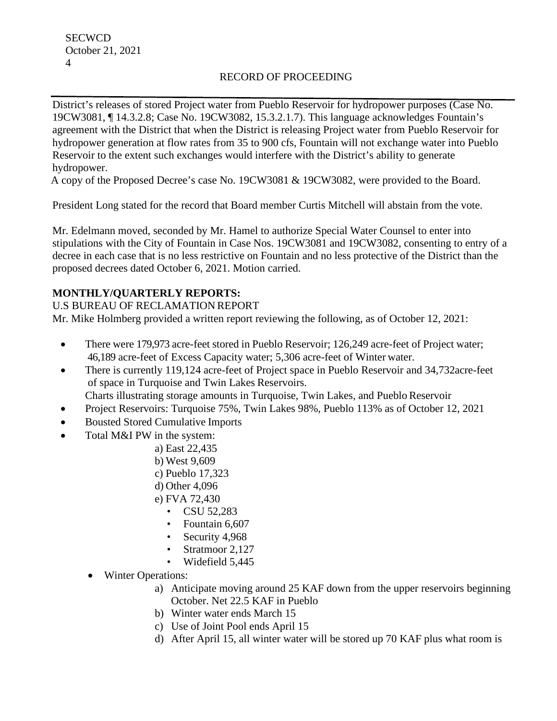District's releases of stored Project water from Pueblo Reservoir for hydropower purposes (Case No. 19CW3081, ¶ 14.3.2.8; Case No. 19CW3082, 15.3.2.1.7). This language acknowledges Fountain's agreement with the District that when the District is releasing Project water from Pueblo Reservoir for hydropower generation at flow rates from 35 to 900 cfs, Fountain will not exchange water into Pueblo Reservoir to the extent such exchanges would interfere with the District's ability to generate hydropower.

A copy of the Proposed Decree's case No. 19CW3081 & 19CW3082, were provided to the Board.

President Long stated for the record that Board member Curtis Mitchell will abstain from the vote.

Mr. Edelmann moved, seconded by Mr. Hamel to authorize Special Water Counsel to enter into stipulations with the City of Fountain in Case Nos. 19CW3081 and 19CW3082, consenting to entry of a decree in each case that is no less restrictive on Fountain and no less protective of the District than the proposed decrees dated October 6, 2021. Motion carried.

# **MONTHLY/QUARTERLY REPORTS:**

U.S BUREAU OF RECLAMATION REPORT Mr. Mike Holmberg provided a written report reviewing the following, as of October 12, 2021:

- There were 179,973 acre-feet stored in Pueblo Reservoir; 126,249 acre-feet of Project water; 46,189 acre-feet of Excess Capacity water; 5,306 acre-feet of Winter water.
- There is currently 119,124 acre-feet of Project space in Pueblo Reservoir and 34,732 acre-feet of space in Turquoise and Twin Lakes Reservoirs. Charts illustrating storage amounts in Turquoise, Twin Lakes, and Pueblo Reservoir
- Project Reservoirs: Turquoise 75%, Twin Lakes 98%, Pueblo 113% as of October 12, 2021
- Bousted Stored Cumulative Imports
- Total M&I PW in the system:
	- a) East 22,435
	- b) West 9,609
	- c) Pueblo 17,323
	- d) Other 4,096
	- e) FVA 72,430
		- CSU 52,283
		- Fountain 6,607
		- Security 4,968
		- Stratmoor 2,127
		- Widefield 5,445
	- Winter Operations:
		- a) Anticipate moving around 25 KAF down from the upper reservoirs beginning October. Net 22.5 KAF in Pueblo
		- b) Winter water ends March 15
		- c) Use of Joint Pool ends April 15
		- d) After April 15, all winter water will be stored up 70 KAF plus what room is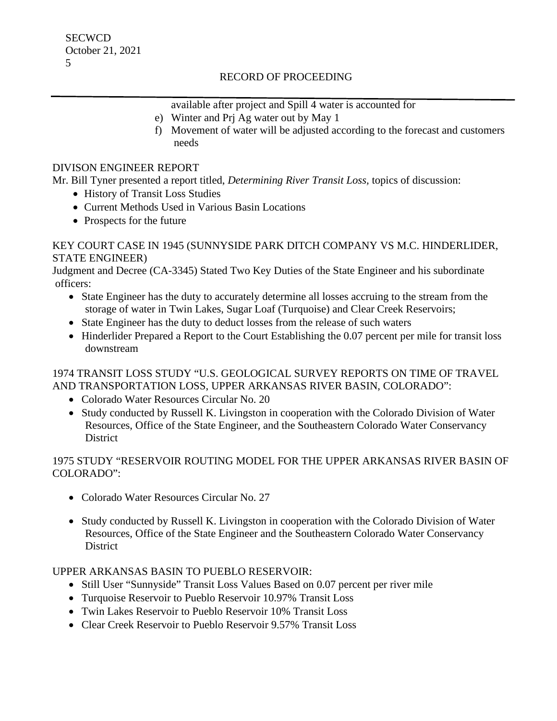available after project and Spill 4 water is accounted for e) Winter and Prj Ag water out by May 1

f) Movement of water will be adjusted according to the forecast and customers needs

## DIVISON ENGINEER REPORT

Mr. Bill Tyner presented a report titled, *Determining River Transit Loss,* topics of discussion:

- History of Transit Loss Studies
- Current Methods Used in Various Basin Locations
- Prospects for the future

### KEY COURT CASE IN 1945 (SUNNYSIDE PARK DITCH COMPANY VS M.C. HINDERLIDER, STATE ENGINEER)

Judgment and Decree (CA-3345) Stated Two Key Duties of the State Engineer and his subordinate officers:

- State Engineer has the duty to accurately determine all losses accruing to the stream from the storage of water in Twin Lakes, Sugar Loaf (Turquoise) and Clear Creek Reservoirs;
- State Engineer has the duty to deduct losses from the release of such waters
- Hinderlider Prepared a Report to the Court Establishing the 0.07 percent per mile for transit loss downstream

## 1974 TRANSIT LOSS STUDY "U.S. GEOLOGICAL SURVEY REPORTS ON TIME OF TRAVEL AND TRANSPORTATION LOSS, UPPER ARKANSAS RIVER BASIN, COLORADO":

- Colorado Water Resources Circular No. 20
- Study conducted by Russell K. Livingston in cooperation with the Colorado Division of Water Resources, Office of the State Engineer, and the Southeastern Colorado Water Conservancy District

# 1975 STUDY "RESERVOIR ROUTING MODEL FOR THE UPPER ARKANSAS RIVER BASIN OF COLORADO":

- Colorado Water Resources Circular No. 27
- Study conducted by Russell K. Livingston in cooperation with the Colorado Division of Water Resources, Office of the State Engineer and the Southeastern Colorado Water Conservancy **District**

### UPPER ARKANSAS BASIN TO PUEBLO RESERVOIR:

- Still User "Sunnyside" Transit Loss Values Based on 0.07 percent per river mile
- Turquoise Reservoir to Pueblo Reservoir 10.97% Transit Loss
- Twin Lakes Reservoir to Pueblo Reservoir 10% Transit Loss
- Clear Creek Reservoir to Pueblo Reservoir 9.57% Transit Loss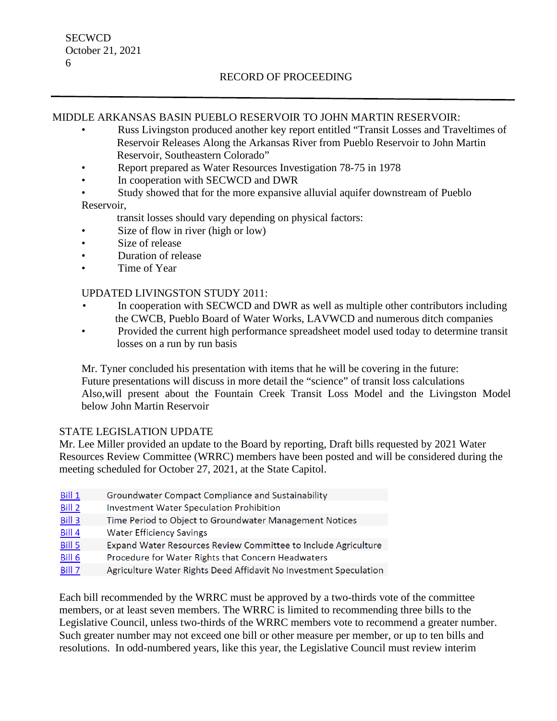## MIDDLE ARKANSAS BASIN PUEBLO RESERVOIR TO JOHN MARTIN RESERVOIR:

- Russ Livingston produced another key report entitled "Transit Losses and Traveltimes of Reservoir Releases Along the Arkansas River from Pueblo Reservoir to John Martin Reservoir, Southeastern Colorado"
- Report prepared as Water Resources Investigation 78-75 in 1978
- In cooperation with SECWCD and DWR
- Study showed that for the more expansive alluvial aquifer downstream of Pueblo Reservoir,
	- transit losses should vary depending on physical factors:
- Size of flow in river (high or low)
- Size of release
- Duration of release
- Time of Year

### UPDATED LIVINGSTON STUDY 2011:

- In cooperation with SECWCD and DWR as well as multiple other contributors including the CWCB, Pueblo Board of Water Works, LAVWCD and numerous ditch companies
- Provided the current high performance spreadsheet model used today to determine transit losses on a run by run basis

Mr. Tyner concluded his presentation with items that he will be covering in the future: Future presentations will discuss in more detail the "science" of transit loss calculations Also,will present about the Fountain Creek Transit Loss Model and the Livingston Model below John Martin Reservoir

### STATE LEGISLATION UPDATE

Mr. Lee Miller provided an update to the Board by reporting, Draft bills requested by 2021 Water Resources Review Committee (WRRC) members have been posted and will be considered during the meeting scheduled for October 27, 2021, at the State Capitol.

- Bill 1 Groundwater Compact Compliance and Sustainability
- Bill 2 Investment Water Speculation Prohibition
- Bill 3 Time Period to Object to Groundwater Management Notices
- Bill 4 **Water Efficiency Savings**
- Bill 5 Expand Water Resources Review Committee to Include Agriculture
- Bill 6 Procedure for Water Rights that Concern Headwaters
- Bill 7 Agriculture Water Rights Deed Affidavit No Investment Speculation

Each bill recommended by the WRRC must be approved by a two-thirds vote of the committee members, or at least seven members. The WRRC is limited to recommending three bills to the Legislative Council, unless two-thirds of the WRRC members vote to recommend a greater number. Such greater number may not exceed one bill or other measure per member, or up to ten bills and resolutions. In odd-numbered years, like this year, the Legislative Council must review interim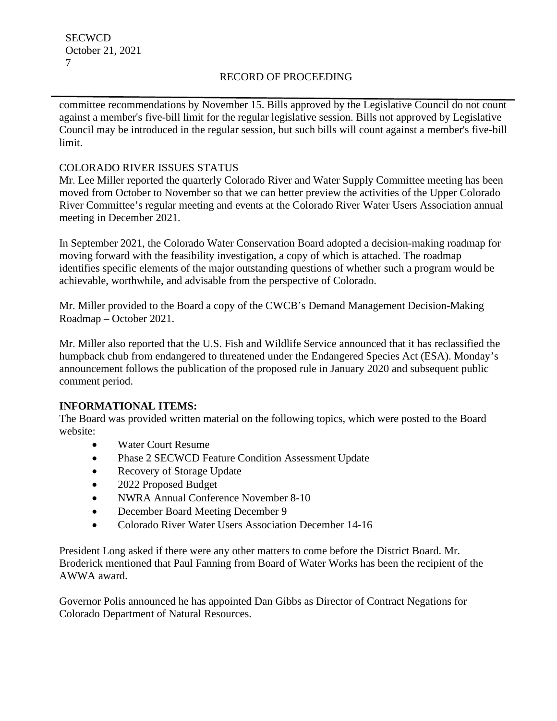committee recommendations by November 15. Bills approved by the Legislative Council do not count against a member's five-bill limit for the regular legislative session. Bills not approved by Legislative Council may be introduced in the regular session, but such bills will count against a member's five-bill limit.

## COLORADO RIVER ISSUES STATUS

Mr. Lee Miller reported the quarterly Colorado River and Water Supply Committee meeting has been moved from October to November so that we can better preview the activities of the Upper Colorado River Committee's regular meeting and events at the Colorado River Water Users Association annual meeting in December 2021.

In September 2021, the Colorado Water Conservation Board adopted a decision-making roadmap for moving forward with the feasibility investigation, a copy of which is attached. The roadmap identifies specific elements of the major outstanding questions of whether such a program would be achievable, worthwhile, and advisable from the perspective of Colorado.

Mr. Miller provided to the Board a copy of the CWCB's Demand Management Decision-Making Roadmap – October 2021.

Mr. Miller also reported that the U.S. Fish and Wildlife Service announced that it has reclassified the humpback chub from endangered to threatened under the Endangered Species Act (ESA). Monday's announcement follows the publication of the proposed rule in January 2020 and subsequent public comment period.

# **INFORMATIONAL ITEMS:**

The Board was provided written material on the following topics, which were posted to the Board website:

- Water Court Resume
- Phase 2 SECWCD Feature Condition Assessment Update
- Recovery of Storage Update
- 2022 Proposed Budget
- NWRA Annual Conference November 8-10
- December Board Meeting December 9
- Colorado River Water Users Association December 14-16

President Long asked if there were any other matters to come before the District Board. Mr. Broderick mentioned that Paul Fanning from Board of Water Works has been the recipient of the AWWA award.

Governor Polis announced he has appointed Dan Gibbs as Director of Contract Negations for Colorado Department of Natural Resources.